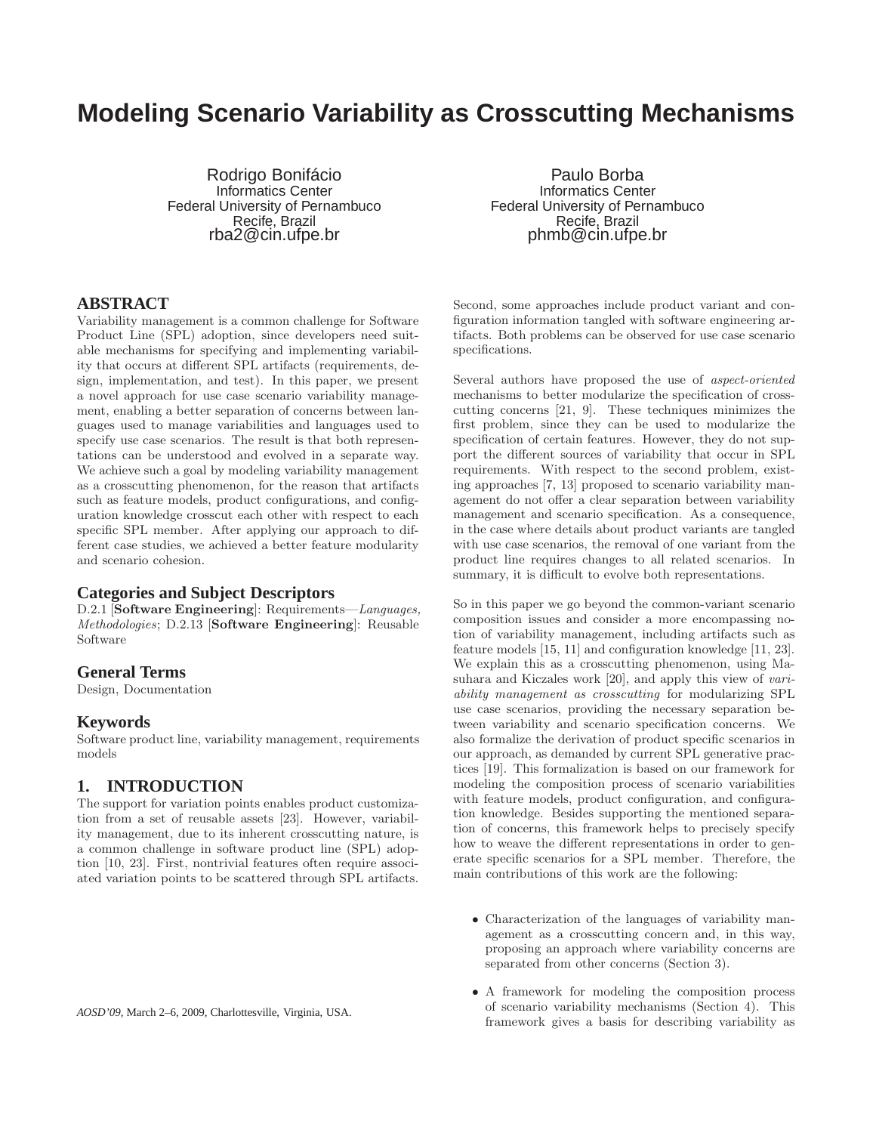# **Modeling Scenario Variability as Crosscutting Mechanisms**

Rodrigo Bonifácio Informatics Center Federal University of Pernambuco Recife, Brazil rba2@cin.ufpe.br

Paulo Borba Informatics Center Federal University of Pernambuco Recife, Brazil phmb@cin.ufpe.br

## **ABSTRACT**

Variability management is a common challenge for Software Product Line (SPL) adoption, since developers need suitable mechanisms for specifying and implementing variability that occurs at different SPL artifacts (requirements, design, implementation, and test). In this paper, we present a novel approach for use case scenario variability management, enabling a better separation of concerns between languages used to manage variabilities and languages used to specify use case scenarios. The result is that both representations can be understood and evolved in a separate way. We achieve such a goal by modeling variability management as a crosscutting phenomenon, for the reason that artifacts such as feature models, product configurations, and configuration knowledge crosscut each other with respect to each specific SPL member. After applying our approach to different case studies, we achieved a better feature modularity and scenario cohesion.

#### **Categories and Subject Descriptors**

D.2.1 [Software Engineering]: Requirements—*Languages, Methodologies*; D.2.13 [Software Engineering]: Reusable Software

#### **General Terms**

Design, Documentation

#### **Keywords**

Software product line, variability management, requirements models

# **1. INTRODUCTION**

The support for variation points enables product customization from a set of reusable assets [23]. However, variability management, due to its inherent crosscutting nature, is a common challenge in software product line (SPL) adoption [10, 23]. First, nontrivial features often require associated variation points to be scattered through SPL artifacts.

*AOSD'09,* March 2–6, 2009, Charlottesville, Virginia, USA.

Second, some approaches include product variant and configuration information tangled with software engineering artifacts. Both problems can be observed for use case scenario specifications.

Several authors have proposed the use of *aspect-oriented* mechanisms to better modularize the specification of crosscutting concerns [21, 9]. These techniques minimizes the first problem, since they can be used to modularize the specification of certain features. However, they do not support the different sources of variability that occur in SPL requirements. With respect to the second problem, existing approaches [7, 13] proposed to scenario variability management do not offer a clear separation between variability management and scenario specification. As a consequence, in the case where details about product variants are tangled with use case scenarios, the removal of one variant from the product line requires changes to all related scenarios. In summary, it is difficult to evolve both representations.

So in this paper we go beyond the common-variant scenario composition issues and consider a more encompassing notion of variability management, including artifacts such as feature models [15, 11] and configuration knowledge [11, 23]. We explain this as a crosscutting phenomenon, using Masuhara and Kiczales work [20], and apply this view of *variability management as crosscutting* for modularizing SPL use case scenarios, providing the necessary separation between variability and scenario specification concerns. We also formalize the derivation of product specific scenarios in our approach, as demanded by current SPL generative practices [19]. This formalization is based on our framework for modeling the composition process of scenario variabilities with feature models, product configuration, and configuration knowledge. Besides supporting the mentioned separation of concerns, this framework helps to precisely specify how to weave the different representations in order to generate specific scenarios for a SPL member. Therefore, the main contributions of this work are the following:

- Characterization of the languages of variability management as a crosscutting concern and, in this way, proposing an approach where variability concerns are separated from other concerns (Section 3).
- A framework for modeling the composition process of scenario variability mechanisms (Section 4). This framework gives a basis for describing variability as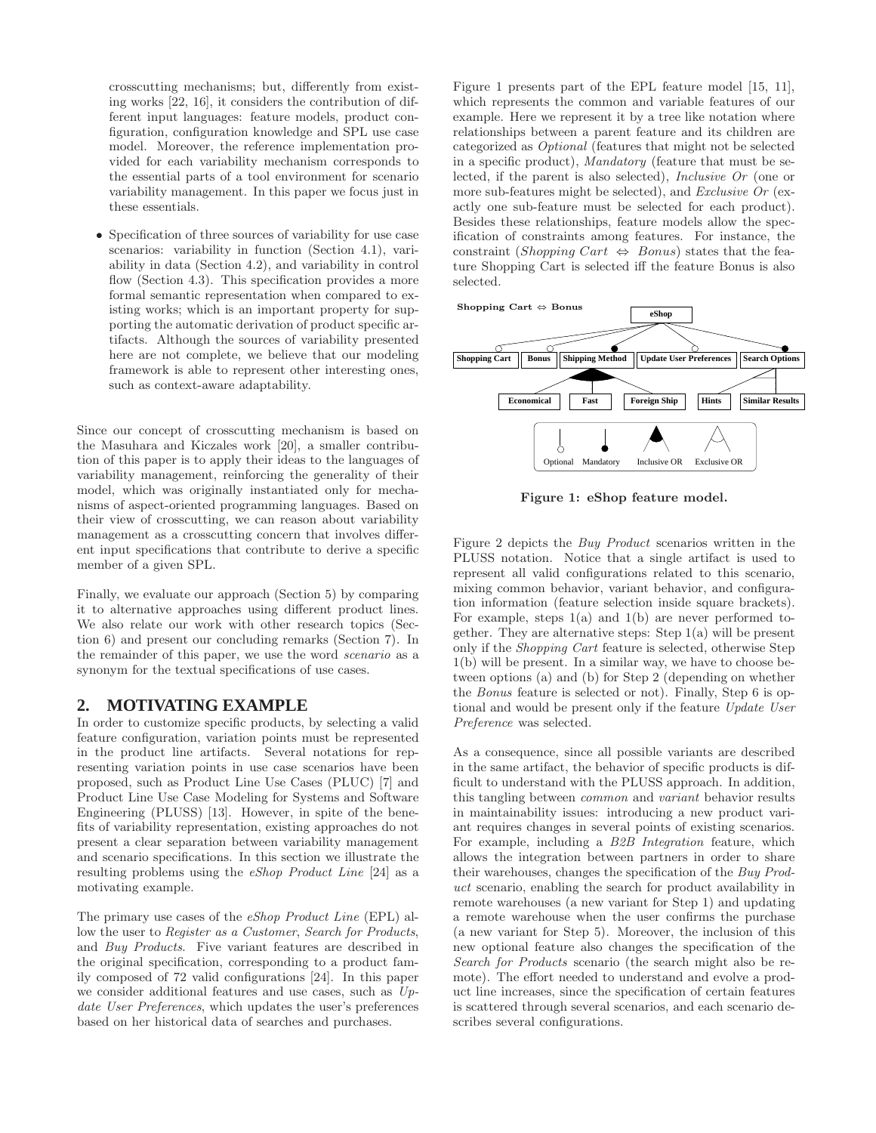crosscutting mechanisms; but, differently from existing works [22, 16], it considers the contribution of different input languages: feature models, product configuration, configuration knowledge and SPL use case model. Moreover, the reference implementation provided for each variability mechanism corresponds to the essential parts of a tool environment for scenario variability management. In this paper we focus just in these essentials.

• Specification of three sources of variability for use case scenarios: variability in function (Section 4.1), variability in data (Section 4.2), and variability in control flow (Section 4.3). This specification provides a more formal semantic representation when compared to existing works; which is an important property for supporting the automatic derivation of product specific artifacts. Although the sources of variability presented here are not complete, we believe that our modeling framework is able to represent other interesting ones, such as context-aware adaptability.

Since our concept of crosscutting mechanism is based on the Masuhara and Kiczales work [20], a smaller contribution of this paper is to apply their ideas to the languages of variability management, reinforcing the generality of their model, which was originally instantiated only for mechanisms of aspect-oriented programming languages. Based on their view of crosscutting, we can reason about variability management as a crosscutting concern that involves different input specifications that contribute to derive a specific member of a given SPL.

Finally, we evaluate our approach (Section 5) by comparing it to alternative approaches using different product lines. We also relate our work with other research topics (Section 6) and present our concluding remarks (Section 7). In the remainder of this paper, we use the word *scenario* as a synonym for the textual specifications of use cases.

#### **2. MOTIVATING EXAMPLE**

In order to customize specific products, by selecting a valid feature configuration, variation points must be represented in the product line artifacts. Several notations for representing variation points in use case scenarios have been proposed, such as Product Line Use Cases (PLUC) [7] and Product Line Use Case Modeling for Systems and Software Engineering (PLUSS) [13]. However, in spite of the benefits of variability representation, existing approaches do not present a clear separation between variability management and scenario specifications. In this section we illustrate the resulting problems using the *eShop Product Line* [24] as a motivating example.

The primary use cases of the *eShop Product Line* (EPL) allow the user to *Register as a Customer*, *Search for Products*, and *Buy Products*. Five variant features are described in the original specification, corresponding to a product family composed of 72 valid configurations [24]. In this paper we consider additional features and use cases, such as *Update User Preferences*, which updates the user's preferences based on her historical data of searches and purchases.

Figure 1 presents part of the EPL feature model [15, 11], which represents the common and variable features of our example. Here we represent it by a tree like notation where relationships between a parent feature and its children are categorized as *Optional* (features that might not be selected in a specific product), *Mandatory* (feature that must be selected, if the parent is also selected), *Inclusive Or* (one or more sub-features might be selected), and *Exclusive Or* (exactly one sub-feature must be selected for each product). Besides these relationships, feature models allow the specification of constraints among features. For instance, the constraint (Shopping Cart  $\Leftrightarrow$  Bonus) states that the feature Shopping Cart is selected iff the feature Bonus is also selected.



Figure 1: eShop feature model.

Figure 2 depicts the *Buy Product* scenarios written in the PLUSS notation. Notice that a single artifact is used to represent all valid configurations related to this scenario, mixing common behavior, variant behavior, and configuration information (feature selection inside square brackets). For example, steps  $1(a)$  and  $1(b)$  are never performed together. They are alternative steps: Step 1(a) will be present only if the *Shopping Cart* feature is selected, otherwise Step 1(b) will be present. In a similar way, we have to choose between options (a) and (b) for Step 2 (depending on whether the *Bonus* feature is selected or not). Finally, Step 6 is optional and would be present only if the feature *Update User Preference* was selected.

As a consequence, since all possible variants are described in the same artifact, the behavior of specific products is difficult to understand with the PLUSS approach. In addition, this tangling between *common* and *variant* behavior results in maintainability issues: introducing a new product variant requires changes in several points of existing scenarios. For example, including a *B2B Integration* feature, which allows the integration between partners in order to share their warehouses, changes the specification of the *Buy Product* scenario, enabling the search for product availability in remote warehouses (a new variant for Step 1) and updating a remote warehouse when the user confirms the purchase (a new variant for Step 5). Moreover, the inclusion of this new optional feature also changes the specification of the *Search for Products* scenario (the search might also be remote). The effort needed to understand and evolve a product line increases, since the specification of certain features is scattered through several scenarios, and each scenario describes several configurations.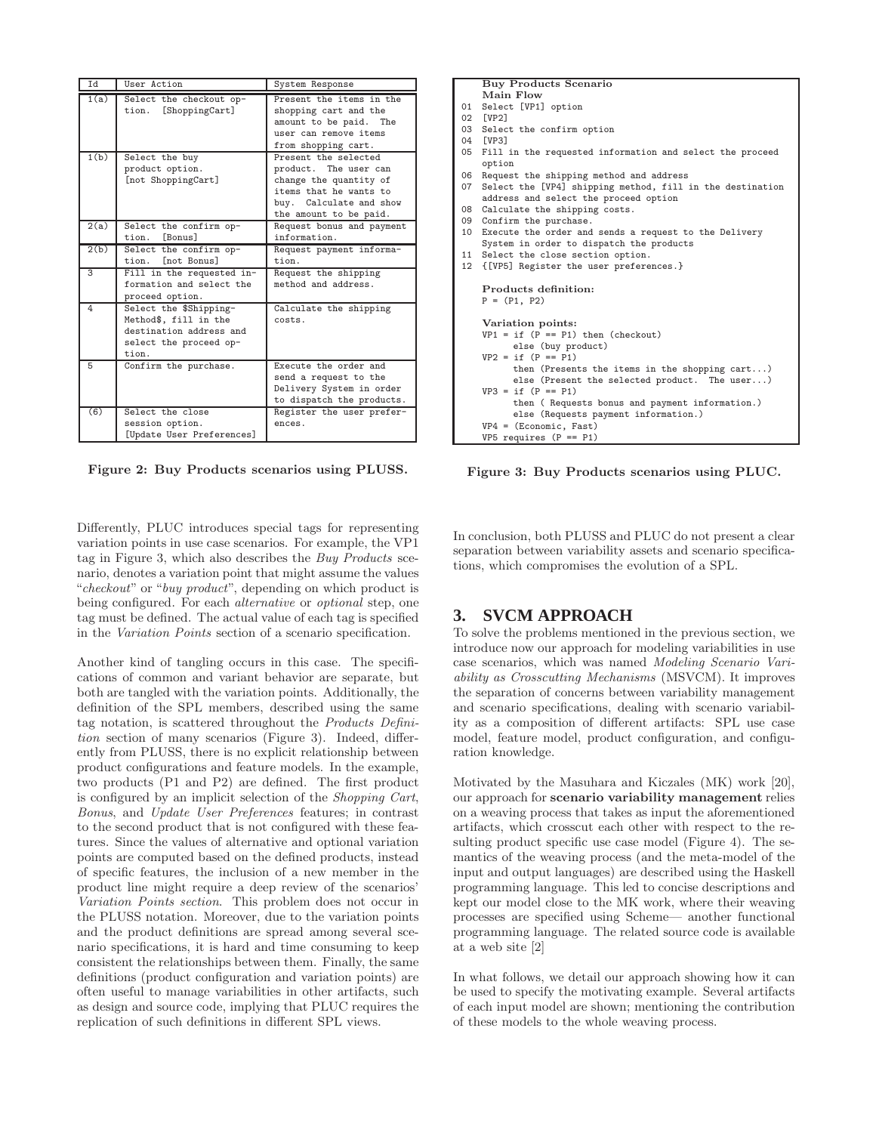| Id   | <b>User Action</b>                                                                                            | System Response                                                                                                                                        |
|------|---------------------------------------------------------------------------------------------------------------|--------------------------------------------------------------------------------------------------------------------------------------------------------|
| 1(a) | Select the checkout op-<br>[ShoppingCart]<br>tion.                                                            | Present the items in the<br>shopping cart and the<br>amount to be paid. The<br>user can remove items<br>from shopping cart.                            |
| 1(b) | Select the buy<br>product option.<br>[not ShoppingCart]                                                       | Present the selected<br>product. The user can<br>change the quantity of<br>items that he wants to<br>buy. Calculate and show<br>the amount to be paid. |
| 2(a) | Select the confirm op-<br>tion. [Bonus]                                                                       | Request bonus and payment<br>information.                                                                                                              |
| 2(b) | Select the confirm op-<br>tion. [not Bonus]                                                                   | Request payment informa-<br>tion.                                                                                                                      |
| 3    | Fill in the requested in-<br>formation and select the<br>proceed option.                                      | Request the shipping<br>method and address.                                                                                                            |
| 4    | Select the \$Shipping-<br>Method\$, fill in the<br>destination address and<br>select the proceed op-<br>tion. | Calculate the shipping<br>costs.                                                                                                                       |
| 5    | Confirm the purchase.                                                                                         | Execute the order and<br>send a request to the<br>Delivery System in order<br>to dispatch the products.                                                |
| (6)  | Select the close<br>session option.<br>[Update User Preferences]                                              | Register the user prefer-<br>ences.                                                                                                                    |

Figure 2: Buy Products scenarios using PLUSS.

Differently, PLUC introduces special tags for representing variation points in use case scenarios. For example, the VP1 tag in Figure 3, which also describes the *Buy Products* scenario, denotes a variation point that might assume the values "*checkout*" or "*buy product*", depending on which product is being configured. For each *alternative* or *optional* step, one tag must be defined. The actual value of each tag is specified in the *Variation Points* section of a scenario specification.

Another kind of tangling occurs in this case. The specifications of common and variant behavior are separate, but both are tangled with the variation points. Additionally, the definition of the SPL members, described using the same tag notation, is scattered throughout the *Products Definition* section of many scenarios (Figure 3). Indeed, differently from PLUSS, there is no explicit relationship between product configurations and feature models. In the example, two products (P1 and P2) are defined. The first product is configured by an implicit selection of the *Shopping Cart*, *Bonus*, and *Update User Preferences* features; in contrast to the second product that is not configured with these features. Since the values of alternative and optional variation points are computed based on the defined products, instead of specific features, the inclusion of a new member in the product line might require a deep review of the scenarios' *Variation Points section*. This problem does not occur in the PLUSS notation. Moreover, due to the variation points and the product definitions are spread among several scenario specifications, it is hard and time consuming to keep consistent the relationships between them. Finally, the same definitions (product configuration and variation points) are often useful to manage variabilities in other artifacts, such as design and source code, implying that PLUC requires the replication of such definitions in different SPL views.

#### Buy Products Scenario Main Flow 01 Select [VP1] option 02 [VP2] 03 Select the confirm option 04 [VP3] 05 Fill in the requested information and select the proceed option 06 Request the shipping method and address 07 Select the [VP4] shipping method, fill in the destination address and select the proceed option 08 Calculate the shipping costs. 09 Confirm the purchase. 10 Execute the order and sends a request to the Delivery System in order to dispatch the products 11 Select the close section option. 12 {[VP5] Register the user preferences.} Products definition:  $P = (P1, P2)$ Variation points:  $VP1 = if (P == P1) then (checkout)$ else (buy product)  $VP2 = if (P == P1)$ then (Presents the items in the shopping cart...) else (Present the selected product. The user...)  $VP3 = if (P == P1)$ then ( Requests bonus and payment information.) else (Requests payment information.) VP4 = (Economic, Fast) VP5 requires  $(P == P1)$

Figure 3: Buy Products scenarios using PLUC.

In conclusion, both PLUSS and PLUC do not present a clear separation between variability assets and scenario specifications, which compromises the evolution of a SPL.

# **3. SVCM APPROACH**

To solve the problems mentioned in the previous section, we introduce now our approach for modeling variabilities in use case scenarios, which was named *Modeling Scenario Variability as Crosscutting Mechanisms* (MSVCM). It improves the separation of concerns between variability management and scenario specifications, dealing with scenario variability as a composition of different artifacts: SPL use case model, feature model, product configuration, and configuration knowledge.

Motivated by the Masuhara and Kiczales (MK) work [20], our approach for scenario variability management relies on a weaving process that takes as input the aforementioned artifacts, which crosscut each other with respect to the resulting product specific use case model (Figure 4). The semantics of the weaving process (and the meta-model of the input and output languages) are described using the Haskell programming language. This led to concise descriptions and kept our model close to the MK work, where their weaving processes are specified using Scheme— another functional programming language. The related source code is available at a web site [2]

In what follows, we detail our approach showing how it can be used to specify the motivating example. Several artifacts of each input model are shown; mentioning the contribution of these models to the whole weaving process.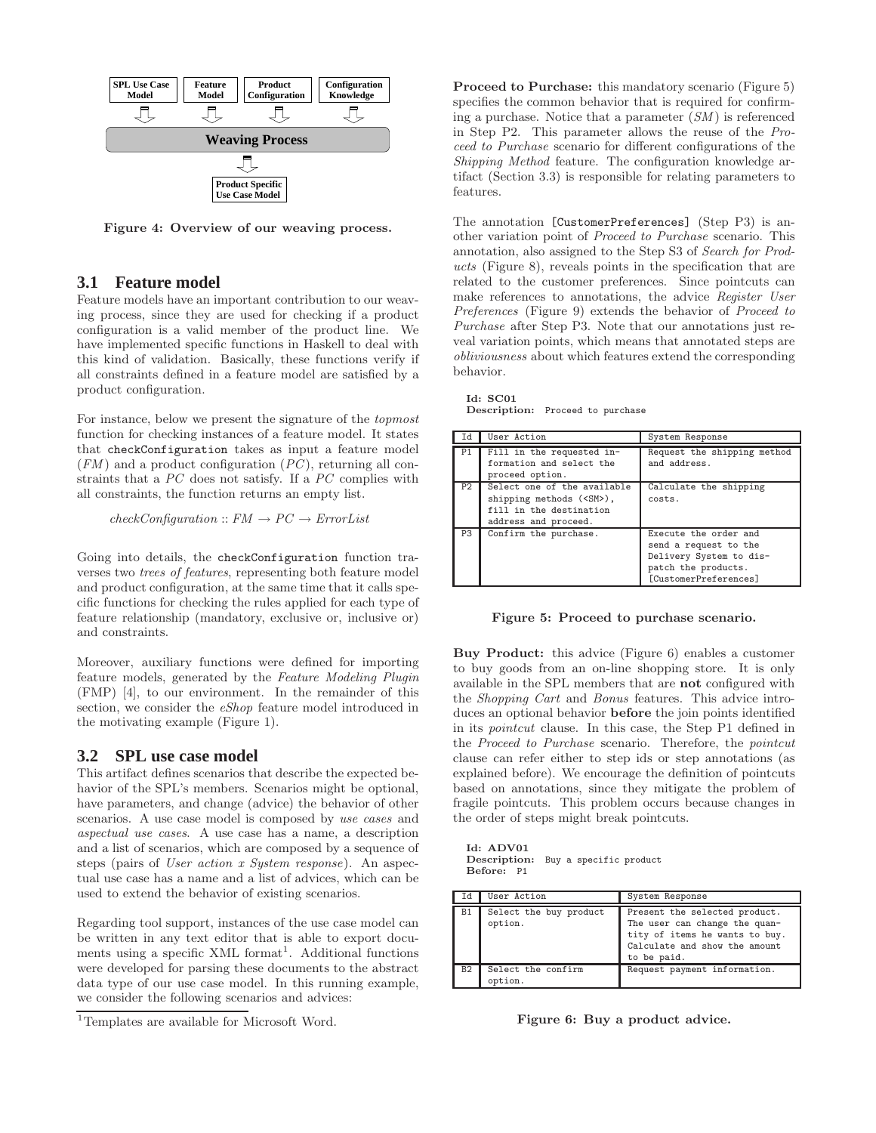

Figure 4: Overview of our weaving process.

#### **3.1 Feature model**

Feature models have an important contribution to our weaving process, since they are used for checking if a product configuration is a valid member of the product line. We have implemented specific functions in Haskell to deal with this kind of validation. Basically, these functions verify if all constraints defined in a feature model are satisfied by a product configuration.

For instance, below we present the signature of the *topmost* function for checking instances of a feature model. It states that checkConfiguration takes as input a feature model (*FM* ) and a product configuration (*PC* ), returning all constraints that a *PC* does not satisfy. If a *PC* complies with all constraints, the function returns an empty list.

 $checkConfiguration: FM \rightarrow PC \rightarrow ErrorList$ 

Going into details, the checkConfiguration function traverses two *trees of features*, representing both feature model and product configuration, at the same time that it calls specific functions for checking the rules applied for each type of feature relationship (mandatory, exclusive or, inclusive or) and constraints.

Moreover, auxiliary functions were defined for importing feature models, generated by the *Feature Modeling Plugin* (FMP) [4], to our environment. In the remainder of this section, we consider the *eShop* feature model introduced in the motivating example (Figure 1).

## **3.2 SPL use case model**

This artifact defines scenarios that describe the expected behavior of the SPL's members. Scenarios might be optional, have parameters, and change (advice) the behavior of other scenarios. A use case model is composed by *use cases* and *aspectual use cases*. A use case has a name, a description and a list of scenarios, which are composed by a sequence of steps (pairs of *User action x System response*). An aspectual use case has a name and a list of advices, which can be used to extend the behavior of existing scenarios.

Regarding tool support, instances of the use case model can be written in any text editor that is able to export documents using a specific XML format<sup>1</sup>. Additional functions were developed for parsing these documents to the abstract data type of our use case model. In this running example, we consider the following scenarios and advices:

Proceed to Purchase: this mandatory scenario (Figure 5) specifies the common behavior that is required for confirming a purchase. Notice that a parameter (*SM* ) is referenced in Step P2. This parameter allows the reuse of the *Proceed to Purchase* scenario for different configurations of the *Shipping Method* feature. The configuration knowledge artifact (Section 3.3) is responsible for relating parameters to features.

The annotation [CustomerPreferences] (Step P3) is another variation point of *Proceed to Purchase* scenario. This annotation, also assigned to the Step S3 of *Search for Products* (Figure 8), reveals points in the specification that are related to the customer preferences. Since pointcuts can make references to annotations, the advice *Register User Preferences* (Figure 9) extends the behavior of *Proceed to Purchase* after Step P3. Note that our annotations just reveal variation points, which means that annotated steps are *obliviousness* about which features extend the corresponding behavior.

Id: SC01 Description: Proceed to purchase

|                | User Action                                                                                                        | System Response                                                                                                           |
|----------------|--------------------------------------------------------------------------------------------------------------------|---------------------------------------------------------------------------------------------------------------------------|
| P1             | Fill in the requested in-<br>formation and select the<br>proceed option.                                           | Request the shipping method<br>and address.                                                                               |
| P <sub>2</sub> | Select one of the available<br>shipping methods ( <sm>),<br/>fill in the destination<br/>address and proceed.</sm> | Calculate the shipping<br>costs.                                                                                          |
| P <sub>3</sub> | Confirm the purchase.                                                                                              | Execute the order and<br>send a request to the<br>Delivery System to dis-<br>patch the products.<br>[CustomerPreferences] |

#### Figure 5: Proceed to purchase scenario.

Buy Product: this advice (Figure 6) enables a customer to buy goods from an on-line shopping store. It is only available in the SPL members that are not configured with the *Shopping Cart* and *Bonus* features. This advice introduces an optional behavior before the join points identified in its *pointcut* clause. In this case, the Step P1 defined in the *Proceed to Purchase* scenario. Therefore, the *pointcut* clause can refer either to step ids or step annotations (as explained before). We encourage the definition of pointcuts based on annotations, since they mitigate the problem of fragile pointcuts. This problem occurs because changes in the order of steps might break pointcuts.

Id: ADV01 Description: Buy a specific product Before: P1

| Id        | User Action                       | System Response                                                                                                                                  |
|-----------|-----------------------------------|--------------------------------------------------------------------------------------------------------------------------------------------------|
| <b>B1</b> | Select the buy product<br>option. | Present the selected product.<br>The user can change the quan-<br>tity of items he wants to buy.<br>Calculate and show the amount<br>to be paid. |
| <b>B2</b> | Select the confirm<br>option.     | Request payment information.                                                                                                                     |

Figure 6: Buy a product advice.

<sup>&</sup>lt;sup>1</sup>Templates are available for Microsoft Word.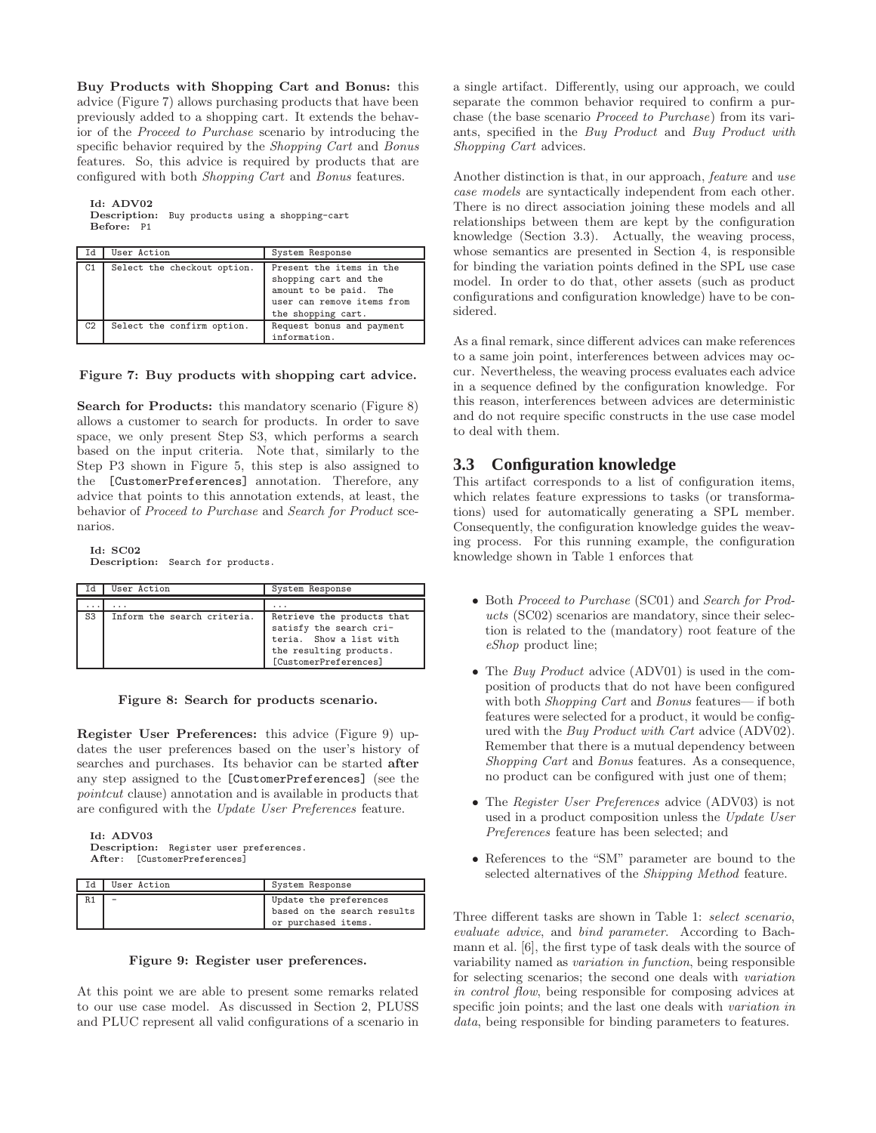Buy Products with Shopping Cart and Bonus: this advice (Figure 7) allows purchasing products that have been previously added to a shopping cart. It extends the behavior of the *Proceed to Purchase* scenario by introducing the specific behavior required by the *Shopping Cart* and *Bonus* features. So, this advice is required by products that are configured with both *Shopping Cart* and *Bonus* features.

Id: ADV02

Description: Buy products using a shopping-cart Before: P1

| 1d | User Action                 | System Response                                                                                                                 |
|----|-----------------------------|---------------------------------------------------------------------------------------------------------------------------------|
| C1 | Select the checkout option. | Present the items in the<br>shopping cart and the<br>amount to be paid. The<br>user can remove items from<br>the shopping cart. |
| C2 | Select the confirm option.  | Request bonus and payment<br>information.                                                                                       |

#### Figure 7: Buy products with shopping cart advice.

Search for Products: this mandatory scenario (Figure 8) allows a customer to search for products. In order to save space, we only present Step S3, which performs a search based on the input criteria. Note that, similarly to the Step P3 shown in Figure 5, this step is also assigned to the [CustomerPreferences] annotation. Therefore, any advice that points to this annotation extends, at least, the behavior of *Proceed to Purchase* and *Search for Product* scenarios.

Id: SC02 Description: Search for products.

| Ιd                      | User Action                 | System Response                                                                                                                      |
|-------------------------|-----------------------------|--------------------------------------------------------------------------------------------------------------------------------------|
| $\cdot$ $\cdot$ $\cdot$ | .                           | .                                                                                                                                    |
| S <sub>3</sub>          | Inform the search criteria. | Retrieve the products that<br>satisfy the search cri-<br>teria. Show a list with<br>the resulting products.<br>[CustomerPreferences] |

Figure 8: Search for products scenario.

Register User Preferences: this advice (Figure 9) updates the user preferences based on the user's history of searches and purchases. Its behavior can be started after any step assigned to the [CustomerPreferences] (see the *pointcut* clause) annotation and is available in products that are configured with the *Update User Preferences* feature.

Id: ADV03 Description: Register user preferences. After: [CustomerPreferences]

| User Action | System Response                                                              |
|-------------|------------------------------------------------------------------------------|
|             | Update the preferences<br>based on the search results<br>or purchased items. |



At this point we are able to present some remarks related to our use case model. As discussed in Section 2, PLUSS and PLUC represent all valid configurations of a scenario in

a single artifact. Differently, using our approach, we could separate the common behavior required to confirm a purchase (the base scenario *Proceed to Purchase*) from its variants, specified in the *Buy Product* and *Buy Product with Shopping Cart* advices.

Another distinction is that, in our approach, *feature* and *use case models* are syntactically independent from each other. There is no direct association joining these models and all relationships between them are kept by the configuration knowledge (Section 3.3). Actually, the weaving process, whose semantics are presented in Section 4, is responsible for binding the variation points defined in the SPL use case model. In order to do that, other assets (such as product configurations and configuration knowledge) have to be considered.

As a final remark, since different advices can make references to a same join point, interferences between advices may occur. Nevertheless, the weaving process evaluates each advice in a sequence defined by the configuration knowledge. For this reason, interferences between advices are deterministic and do not require specific constructs in the use case model to deal with them.

## **3.3 Configuration knowledge**

This artifact corresponds to a list of configuration items, which relates feature expressions to tasks (or transformations) used for automatically generating a SPL member. Consequently, the configuration knowledge guides the weaving process. For this running example, the configuration knowledge shown in Table 1 enforces that

- Both *Proceed to Purchase* (SC01) and *Search for Products* (SC02) scenarios are mandatory, since their selection is related to the (mandatory) root feature of the *eShop* product line;
- The *Buy Product* advice (ADV01) is used in the composition of products that do not have been configured with both *Shopping Cart* and *Bonus* features— if both features were selected for a product, it would be configured with the *Buy Product with Cart* advice (ADV02). Remember that there is a mutual dependency between *Shopping Cart* and *Bonus* features. As a consequence, no product can be configured with just one of them;
- The *Register User Preferences* advice (ADV03) is not used in a product composition unless the *Update User Preferences* feature has been selected; and
- References to the "SM" parameter are bound to the selected alternatives of the *Shipping Method* feature.

Three different tasks are shown in Table 1: *select scenario*, *evaluate advice*, and *bind parameter*. According to Bachmann et al. [6], the first type of task deals with the source of variability named as *variation in function*, being responsible for selecting scenarios; the second one deals with *variation in control flow*, being responsible for composing advices at specific join points; and the last one deals with *variation in data*, being responsible for binding parameters to features.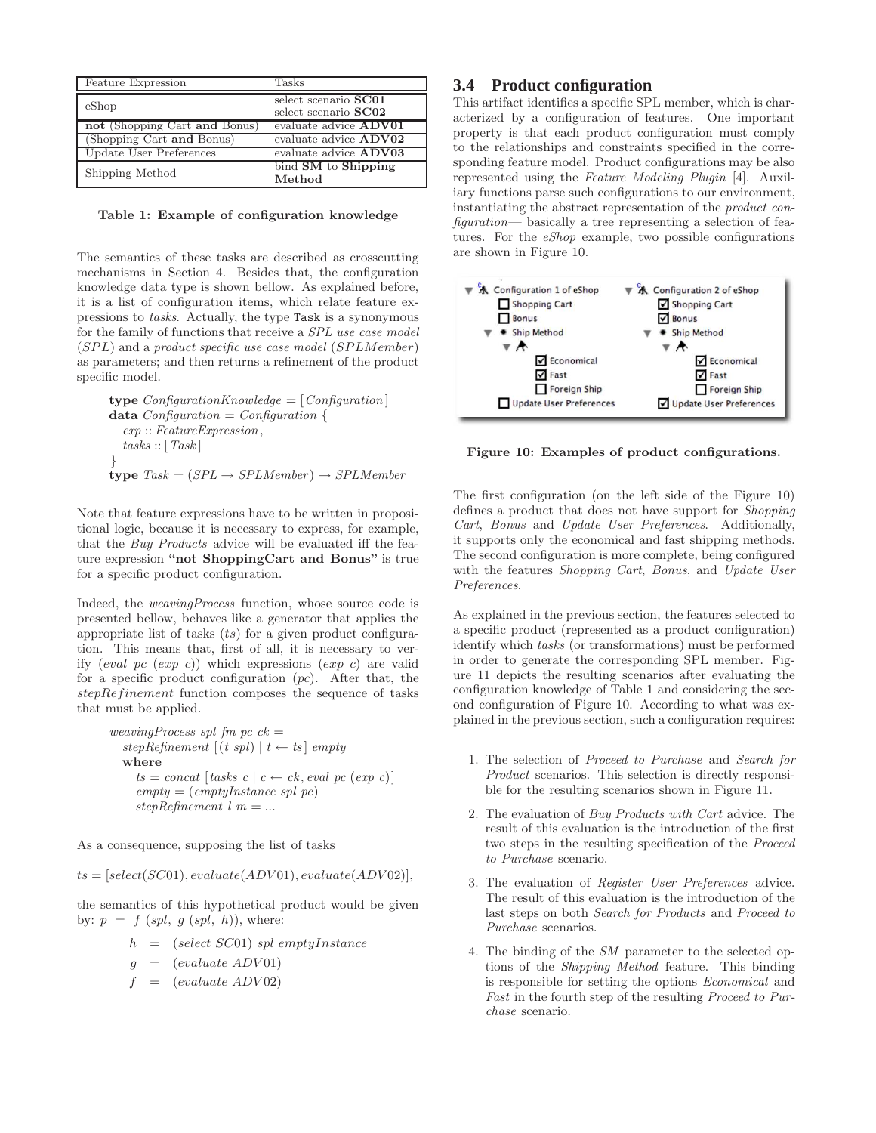| Feature Expression            | Tasks                                        |
|-------------------------------|----------------------------------------------|
| eShop                         | select scenario SC01<br>select scenario SC02 |
| not (Shopping Cart and Bonus) | evaluate advice <b>ADV01</b>                 |
| (Shopping Cart and Bonus)     | evaluate advice ADV02                        |
| Update User Preferences       | evaluate advice <b>ADV03</b>                 |
| Shipping Method               | bind SM to Shipping<br>Method                |

Table 1: Example of configuration knowledge

The semantics of these tasks are described as crosscutting mechanisms in Section 4. Besides that, the configuration knowledge data type is shown bellow. As explained before, it is a list of configuration items, which relate feature expressions to *tasks*. Actually, the type Task is a synonymous for the family of functions that receive a *SPL use case model* (SPL) and a *product specific use case model* (SPLMember) as parameters; and then returns a refinement of the product specific model.

 $\tt type \t**ConfigurationKnowledge = [Configuration]**$ data *Configuration* = *Configuration* { *exp* :: *FeatureExpression*, *tasks* :: [*Task* ] }  $type~Task = (SPL \rightarrow SPLMember) \rightarrow SPLMember$ 

Note that feature expressions have to be written in propositional logic, because it is necessary to express, for example, that the *Buy Products* advice will be evaluated iff the feature expression "not ShoppingCart and Bonus" is true for a specific product configuration.

Indeed, the *weavingProcess* function, whose source code is presented bellow, behaves like a generator that applies the appropriate list of tasks  $(ts)$  for a given product configuration. This means that, first of all, it is necessary to verify  $\left(\text{eval } pc \; (\text{exp } c) \right)$  which expressions  $\left(\text{exp } c \right)$  are valid for a specific product configuration  $(pc)$ . After that, the stepRefinement function composes the sequence of tasks that must be applied.

```
weavingProcess spl fm pc ck =
  stepRefinement[(t spl) | t \leftarrow ts] emptywhere
     ts = concat[tasks \ c \ c \leftarrow ck, eval \ pc \ (exp \ c)]empty = (emptyInstance spl pc)
     stepRefinement l m = ...
```
As a consequence, supposing the list of tasks

 $ts = [select(SC01), evaluate(ADV01), evaluate(ADV02)],$ 

the semantics of this hypothetical product would be given by:  $p = f$  (*spl*, g (*spl*, h)), where:

$$
h = (select\ SC01)\ spl\ emptyInstance
$$

$$
g = (evaluate \; ADV01)
$$

 $=$  (evaluate ADV02)

## **3.4 Product configuration**

This artifact identifies a specific SPL member, which is characterized by a configuration of features. One important property is that each product configuration must comply to the relationships and constraints specified in the corresponding feature model. Product configurations may be also represented using the *Feature Modeling Plugin* [4]. Auxiliary functions parse such configurations to our environment, instantiating the abstract representation of the *product configuration*— basically a tree representing a selection of features. For the *eShop* example, two possible configurations are shown in Figure 10.



Figure 10: Examples of product configurations.

The first configuration (on the left side of the Figure 10) defines a product that does not have support for *Shopping Cart*, *Bonus* and *Update User Preferences*. Additionally, it supports only the economical and fast shipping methods. The second configuration is more complete, being configured with the features *Shopping Cart*, *Bonus*, and *Update User Preferences*.

As explained in the previous section, the features selected to a specific product (represented as a product configuration) identify which *tasks* (or transformations) must be performed in order to generate the corresponding SPL member. Figure 11 depicts the resulting scenarios after evaluating the configuration knowledge of Table 1 and considering the second configuration of Figure 10. According to what was explained in the previous section, such a configuration requires:

- 1. The selection of *Proceed to Purchase* and *Search for Product* scenarios. This selection is directly responsible for the resulting scenarios shown in Figure 11.
- 2. The evaluation of *Buy Products with Cart* advice. The result of this evaluation is the introduction of the first two steps in the resulting specification of the *Proceed to Purchase* scenario.
- 3. The evaluation of *Register User Preferences* advice. The result of this evaluation is the introduction of the last steps on both *Search for Products* and *Proceed to Purchase* scenarios.
- 4. The binding of the *SM* parameter to the selected options of the *Shipping Method* feature. This binding is responsible for setting the options *Economical* and *Fast* in the fourth step of the resulting *Proceed to Purchase* scenario.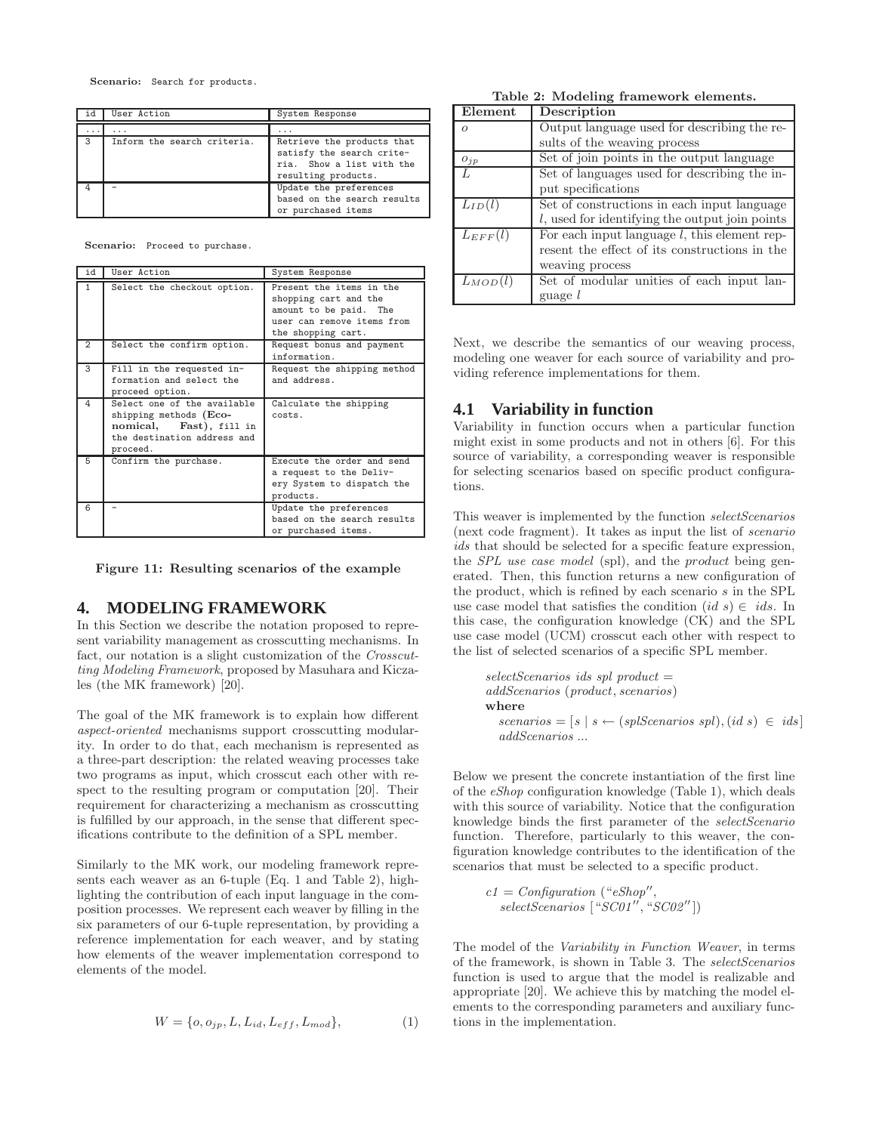Scenario: Search for products.

| id | User Action                 | System Response                                                                                             |
|----|-----------------------------|-------------------------------------------------------------------------------------------------------------|
|    |                             |                                                                                                             |
| .  | $\cdots$                    | $\cdots$                                                                                                    |
| 3  | Inform the search criteria. | Retrieve the products that<br>satisfy the search crite-<br>ria. Show a list with the<br>resulting products. |
|    |                             | Update the preferences<br>based on the search results<br>or purchased items                                 |

Scenario: Proceed to purchase.

| id             | User Action                                                                                                                    | System Response                                                                                                                 |
|----------------|--------------------------------------------------------------------------------------------------------------------------------|---------------------------------------------------------------------------------------------------------------------------------|
| $\mathbf{1}$   | Select the checkout option.                                                                                                    | Present the items in the<br>shopping cart and the<br>amount to be paid. The<br>user can remove items from<br>the shopping cart. |
| $\overline{2}$ | Select the confirm option.                                                                                                     | Request bonus and payment<br>information.                                                                                       |
| 3              | Fill in the requested in-<br>formation and select the<br>proceed option.                                                       | Request the shipping method<br>and address.                                                                                     |
| 4              | Select one of the available<br>shipping methods (Eco-<br>Fast), fill in<br>nomical,<br>the destination address and<br>proceed. | Calculate the shipping<br>costs.                                                                                                |
| 5              | Confirm the purchase.                                                                                                          | Execute the order and send<br>a request to the Deliv-<br>ery System to dispatch the<br>products.                                |
| 6              |                                                                                                                                | Update the preferences<br>based on the search results<br>or purchased items.                                                    |

Figure 11: Resulting scenarios of the example

#### **4. MODELING FRAMEWORK**

In this Section we describe the notation proposed to represent variability management as crosscutting mechanisms. In fact, our notation is a slight customization of the *Crosscutting Modeling Framework*, proposed by Masuhara and Kiczales (the MK framework) [20].

The goal of the MK framework is to explain how different *aspect-oriented* mechanisms support crosscutting modularity. In order to do that, each mechanism is represented as a three-part description: the related weaving processes take two programs as input, which crosscut each other with respect to the resulting program or computation [20]. Their requirement for characterizing a mechanism as crosscutting is fulfilled by our approach, in the sense that different specifications contribute to the definition of a SPL member.

Similarly to the MK work, our modeling framework represents each weaver as an 6-tuple (Eq. 1 and Table 2), highlighting the contribution of each input language in the composition processes. We represent each weaver by filling in the six parameters of our 6-tuple representation, by providing a reference implementation for each weaver, and by stating how elements of the weaver implementation correspond to elements of the model.

$$
W = \{o, o_{jp}, L, L_{id}, L_{eff}, L_{mod}\},\tag{1}
$$

Table 2: Modeling framework elements.

| Element      | Description                                       |
|--------------|---------------------------------------------------|
| $\Omega$     | Output language used for describing the re-       |
|              | sults of the weaving process                      |
| $O_{jp}$     | Set of join points in the output language         |
|              | Set of languages used for describing the in-      |
|              | put specifications                                |
| $L_{ID}(l)$  | Set of constructions in each input language       |
|              | $l$ , used for identifying the output join points |
| $L_{EFF}(l)$ | For each input language $l$ , this element rep-   |
|              | resent the effect of its constructions in the     |
|              | weaving process                                   |
| $L_{MOD}(l)$ | Set of modular unities of each input lan-         |
|              | guage l                                           |

Next, we describe the semantics of our weaving process, modeling one weaver for each source of variability and providing reference implementations for them.

## **4.1 Variability in function**

Variability in function occurs when a particular function might exist in some products and not in others [6]. For this source of variability, a corresponding weaver is responsible for selecting scenarios based on specific product configurations.

This weaver is implemented by the function *selectScenarios* (next code fragment). It takes as input the list of *scenario ids* that should be selected for a specific feature expression, the *SPL use case model* (spl), and the *product* being generated. Then, this function returns a new configuration of the product, which is refined by each scenario s in the SPL use case model that satisfies the condition  $(id\ s) \in\ ids$ . In this case, the configuration knowledge (CK) and the SPL use case model (UCM) crosscut each other with respect to the list of selected scenarios of a specific SPL member.

$$
selectScenarios\ is\ spl\ product =\\addScenarios\ (product, scenarios)\\where\\scenarios = [s \mid s \leftarrow (splScenarios\ spl), (id \ s) \in \ ils]
$$

$$
addScenarios \ ...
$$

Below we present the concrete instantiation of the first line of the *eShop* configuration knowledge (Table 1), which deals with this source of variability. Notice that the configuration knowledge binds the first parameter of the *selectScenario* function. Therefore, particularly to this weaver, the configuration knowledge contributes to the identification of the scenarios that must be selected to a specific product.

$$
c1 = Configuration (``eShop'',selectScenarios [``SC01'', "SC02''])
$$

The model of the *Variability in Function Weaver*, in terms of the framework, is shown in Table 3. The *selectScenarios* function is used to argue that the model is realizable and appropriate [20]. We achieve this by matching the model elements to the corresponding parameters and auxiliary functions in the implementation.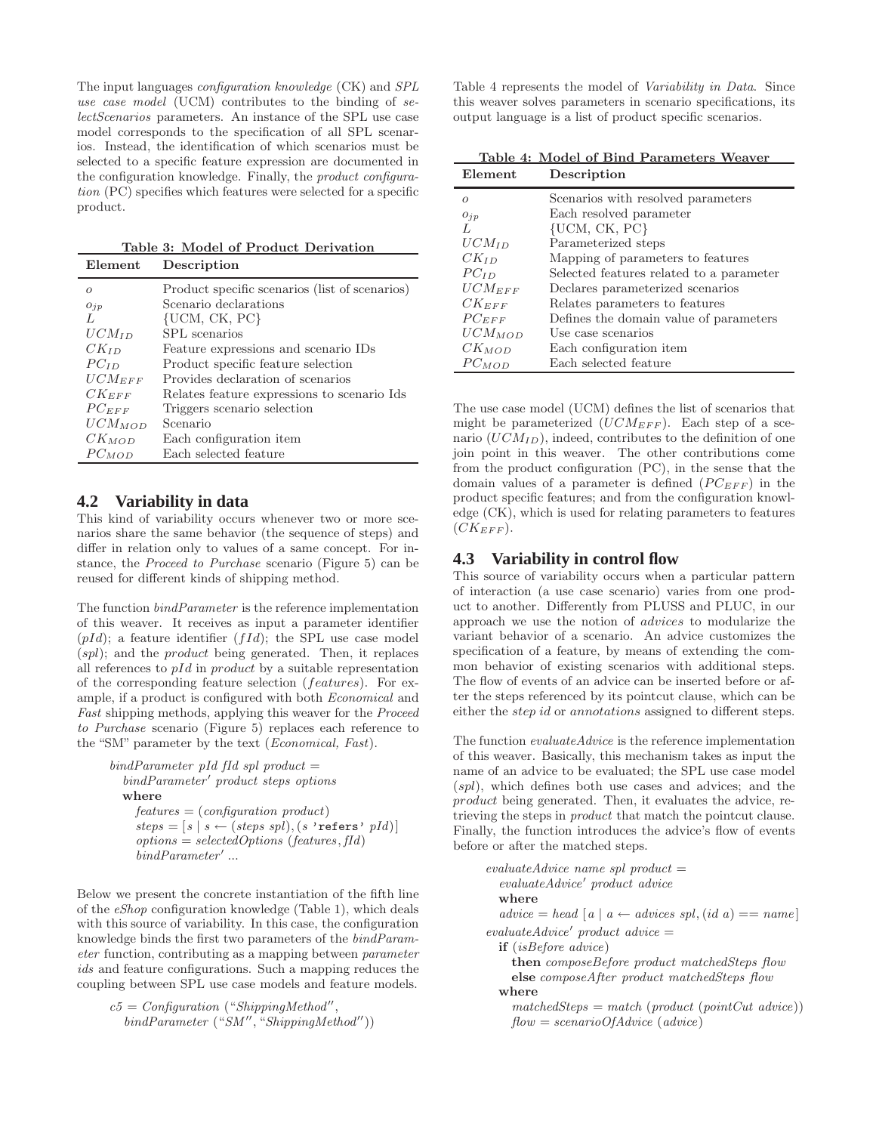The input languages *configuration knowledge* (CK) and *SPL use case model* (UCM) contributes to the binding of *selectScenarios* parameters. An instance of the SPL use case model corresponds to the specification of all SPL scenarios. Instead, the identification of which scenarios must be selected to a specific feature expression are documented in the configuration knowledge. Finally, the *product configuration* (PC) specifies which features were selected for a specific product.

Table 3: Model of Product Derivation Element Description

|             | <b>D</b> ບັນດາ 1 ນາດ 11                        |
|-------------|------------------------------------------------|
| $\Omega$    | Product specific scenarios (list of scenarios) |
| $O_{jp}$    | Scenario declarations                          |
| L           | $\{UCM, CK, PC\}$                              |
| $UCM_{ID}$  | SPL scenarios                                  |
| $CK_{ID}$   | Feature expressions and scenario IDs           |
| $PC_{ID}$   | Product specific feature selection             |
| $UCM_{EFF}$ | Provides declaration of scenarios              |
| $CK_{EFF}$  | Relates feature expressions to scenario Ids.   |
| $PC_{EFF}$  | Triggers scenario selection                    |
| $UCM_{MOD}$ | Scenario                                       |
| $CK_{MOD}$  | Each configuration item                        |
| $PC_{MOD}$  | Each selected feature                          |

## **4.2 Variability in data**

This kind of variability occurs whenever two or more scenarios share the same behavior (the sequence of steps) and differ in relation only to values of a same concept. For instance, the *Proceed to Purchase* scenario (Figure 5) can be reused for different kinds of shipping method.

The function *bindParameter* is the reference implementation of this weaver. It receives as input a parameter identifier  $(pId)$ ; a feature identifier  $(fId)$ ; the SPL use case model  $(spl)$ ; and the *product* being generated. Then, it replaces all references to  $pId$  in product by a suitable representation of the corresponding feature selection (features). For example, if a product is configured with both *Economical* and *Fast* shipping methods, applying this weaver for the *Proceed to Purchase* scenario (Figure 5) replaces each reference to the "SM" parameter by the text (*Economical, Fast*).

```
bindParameter pId fId spl product =
  bindParameter′
product steps options
  where
    features = (configuration product )
    steps = [s | s \leftarrow (steps spl), (s 'refers' pl)]options = selectedOptions (features, fId)
    bindParameter′
...
```
Below we present the concrete instantiation of the fifth line of the *eShop* configuration knowledge (Table 1), which deals with this source of variability. In this case, the configuration knowledge binds the first two parameters of the *bindParameter* function, contributing as a mapping between *parameter ids* and feature configurations. Such a mapping reduces the coupling between SPL use case models and feature models.

```
c5 = Configuration ("ShippingMethod′′
,
  bindParameter ("SM ′′
, "ShippingMethod′′))
```
Table 4 represents the model of *Variability in Data*. Since this weaver solves parameters in scenario specifications, its output language is a list of product specific scenarios.

|                     | Table 4: Model of Bind Parameters Weaver |
|---------------------|------------------------------------------|
| Element             | Description                              |
| $\Omega$            | Scenarios with resolved parameters       |
| $O_{jp}$            | Each resolved parameter                  |
| L                   | $\{UCM, CK, PC\}$                        |
| $UCM$ <sub>ID</sub> | Parameterized steps                      |
| $CK_{ID}$           | Mapping of parameters to features        |
| $PC_{ID}$           | Selected features related to a parameter |
| $UCM_{EFF}$         | Declares parameterized scenarios         |
| $CK_{EFF}$          | Relates parameters to features           |
| $PC_{EFF}$          | Defines the domain value of parameters   |
| $UCM_{MOD}$         | Use case scenarios                       |
| $CK_{MOD}$          | Each configuration item                  |
| $PC$ <i>MOD</i>     | Each selected feature                    |

The use case model (UCM) defines the list of scenarios that might be parameterized  $(UCM_{EFF})$ . Each step of a scenario  $(UCM_{ID})$ , indeed, contributes to the definition of one join point in this weaver. The other contributions come from the product configuration (PC), in the sense that the domain values of a parameter is defined  $(PC_{EFF})$  in the product specific features; and from the configuration knowledge (CK), which is used for relating parameters to features  $(CK_{EFF})$ .

## **4.3 Variability in control flow**

This source of variability occurs when a particular pattern of interaction (a use case scenario) varies from one product to another. Differently from PLUSS and PLUC, in our approach we use the notion of advices to modularize the variant behavior of a scenario. An advice customizes the specification of a feature, by means of extending the common behavior of existing scenarios with additional steps. The flow of events of an advice can be inserted before or after the steps referenced by its pointcut clause, which can be either the *step id* or *annotations* assigned to different steps.

The function *evaluateAdvice* is the reference implementation of this weaver. Basically, this mechanism takes as input the name of an advice to be evaluated; the SPL use case model  $(spl)$ , which defines both use cases and advices; and the product being generated. Then, it evaluates the advice, retrieving the steps in *product* that match the pointcut clause. Finally, the function introduces the advice's flow of events before or after the matched steps.

```
evaluateAdvice name spl product =
  evaluateAdvice′
product advice
  where
  \alpha \text{d} \text{vice} = \text{head} \text{[} \text{a} \text{]} \text{a} \leftarrow \text{advices} \text{spl}, (\text{id} \text{a}) == \text{name} \text{]}evaluateAdvice′
product advice =
  if (isBefore advice)
     then composeBefore product matchedSteps flow
     else composeAfter product matchedSteps flow
  where
     matchedSteps = match (product (pointCut advice))flow = scenarioOfAdvice (advice)
```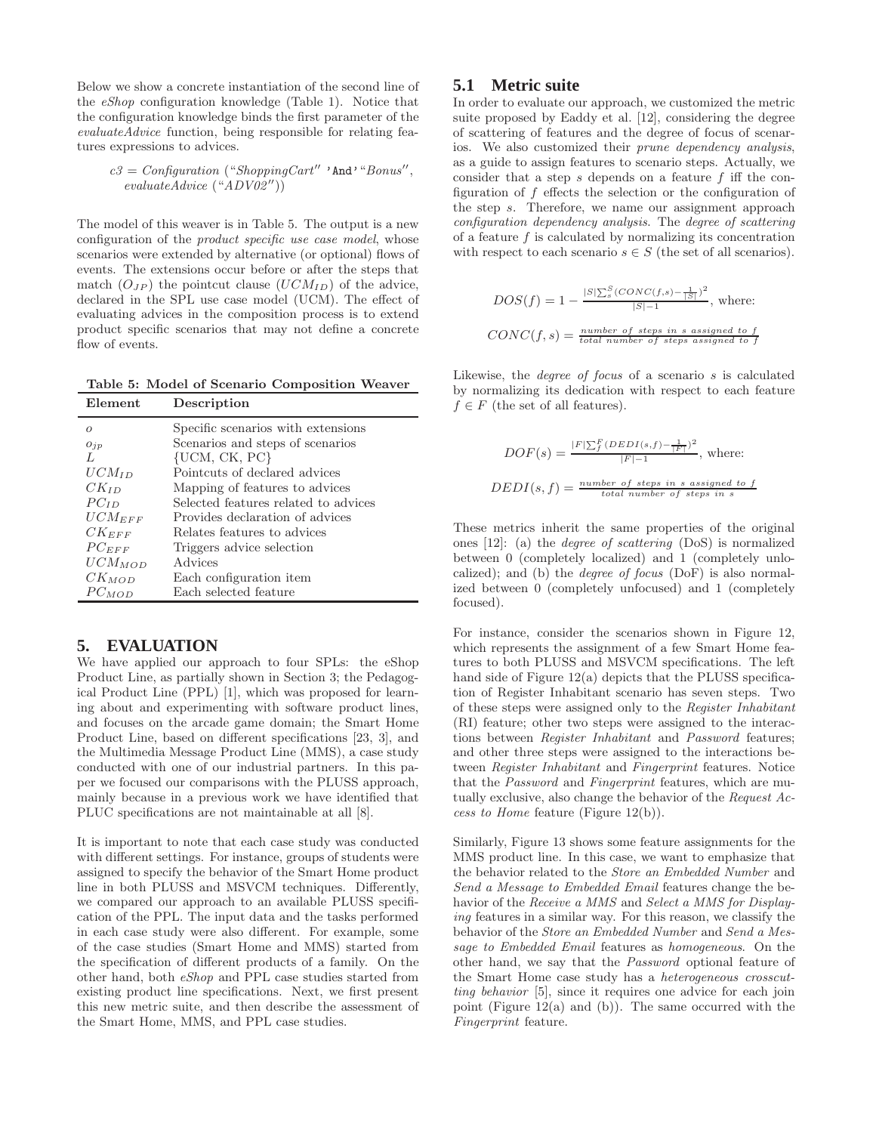Below we show a concrete instantiation of the second line of the *eShop* configuration knowledge (Table 1). Notice that the configuration knowledge binds the first parameter of the *evaluateAdvice* function, being responsible for relating features expressions to advices.

*c3* = *Configuration* ("*ShoppingCart*′′ 'And'"*Bonus*′′ , *evaluateAdvice* ("*ADV02*′′))

The model of this weaver is in Table 5. The output is a new configuration of the *product specific use case model*, whose scenarios were extended by alternative (or optional) flows of events. The extensions occur before or after the steps that match  $(O_{JP})$  the pointcut clause  $(UCM_{ID})$  of the advice, declared in the SPL use case model (UCM). The effect of evaluating advices in the composition process is to extend product specific scenarios that may not define a concrete flow of events.

Table 5: Model of Scenario Composition Weaver Description

| Element     | Description                          |
|-------------|--------------------------------------|
| $\Omega$    | Specific scenarios with extensions   |
| $O_{jp}$    | Scenarios and steps of scenarios     |
| L           | $\{UCM, CK, PC\}$                    |
| $UCM_{ID}$  | Pointcuts of declared advices        |
| $CK_{ID}$   | Mapping of features to advices       |
| $PC_{ID}$   | Selected features related to advices |
| $UCM_{EFF}$ | Provides declaration of advices      |
| $CK_{EFF}$  | Relates features to advices          |
| $PC_{EFF}$  | Triggers advice selection            |
| $UCM_{MOD}$ | Advices                              |
| $CK_{MOD}$  | Each configuration item              |
| $PC_{MOD}$  | Each selected feature                |

## **5. EVALUATION**

We have applied our approach to four SPLs: the eShop Product Line, as partially shown in Section 3; the Pedagogical Product Line (PPL) [1], which was proposed for learning about and experimenting with software product lines, and focuses on the arcade game domain; the Smart Home Product Line, based on different specifications [23, 3], and the Multimedia Message Product Line (MMS), a case study conducted with one of our industrial partners. In this paper we focused our comparisons with the PLUSS approach, mainly because in a previous work we have identified that PLUC specifications are not maintainable at all [8].

It is important to note that each case study was conducted with different settings. For instance, groups of students were assigned to specify the behavior of the Smart Home product line in both PLUSS and MSVCM techniques. Differently, we compared our approach to an available PLUSS specification of the PPL. The input data and the tasks performed in each case study were also different. For example, some of the case studies (Smart Home and MMS) started from the specification of different products of a family. On the other hand, both *eShop* and PPL case studies started from existing product line specifications. Next, we first present this new metric suite, and then describe the assessment of the Smart Home, MMS, and PPL case studies.

## **5.1 Metric suite**

In order to evaluate our approach, we customized the metric suite proposed by Eaddy et al. [12], considering the degree of scattering of features and the degree of focus of scenarios. We also customized their *prune dependency analysis*, as a guide to assign features to scenario steps. Actually, we consider that a step s depends on a feature f iff the configuration of f effects the selection or the configuration of the step s. Therefore, we name our assignment approach *configuration dependency analysis*. The *degree of scattering* of a feature  $f$  is calculated by normalizing its concentration with respect to each scenario  $s \in S$  (the set of all scenarios).

$$
DOS(f) = 1 - \frac{|S|\sum_{s}^{S}(CONC(f, s) - \frac{1}{|S|})^{2}}{|S| - 1},
$$
 where:  
CONC(f, s) =  $\frac{number\ of\ steps\ in\ s\ assigned\ to\ f}{total\ number\ of\ steps\ assigned\ to\ f}$ 

Likewise, the *degree of focus* of a scenario s is calculated by normalizing its dedication with respect to each feature  $f \in F$  (the set of all features).

$$
DOF(s) = \frac{|F|\sum_{f}^{F}(DEDI(s, f) - \frac{1}{|F|})^2}{|F| - 1}, \text{ where:}
$$
  

$$
DEDI(s, f) = \frac{number\ of\ steps\ in\ s\ assigned\ to\ f}{total\ number\ of\ steps\ in\ s}
$$

These metrics inherit the same properties of the original ones [12]: (a) the *degree of scattering* (DoS) is normalized between 0 (completely localized) and 1 (completely unlocalized); and (b) the *degree of focus* (DoF) is also normalized between 0 (completely unfocused) and 1 (completely focused).

For instance, consider the scenarios shown in Figure 12, which represents the assignment of a few Smart Home features to both PLUSS and MSVCM specifications. The left hand side of Figure 12(a) depicts that the PLUSS specification of Register Inhabitant scenario has seven steps. Two of these steps were assigned only to the *Register Inhabitant* (RI) feature; other two steps were assigned to the interactions between *Register Inhabitant* and *Password* features; and other three steps were assigned to the interactions between *Register Inhabitant* and *Fingerprint* features. Notice that the *Password* and *Fingerprint* features, which are mutually exclusive, also change the behavior of the *Request Access to Home* feature (Figure 12(b)).

Similarly, Figure 13 shows some feature assignments for the MMS product line. In this case, we want to emphasize that the behavior related to the *Store an Embedded Number* and *Send a Message to Embedded Email* features change the behavior of the *Receive a MMS* and *Select a MMS for Displaying* features in a similar way. For this reason, we classify the behavior of the *Store an Embedded Number* and *Send a Message to Embedded Email* features as *homogeneous*. On the other hand, we say that the *Password* optional feature of the Smart Home case study has a *heterogeneous crosscutting behavior* [5], since it requires one advice for each join point (Figure 12(a) and (b)). The same occurred with the *Fingerprint* feature.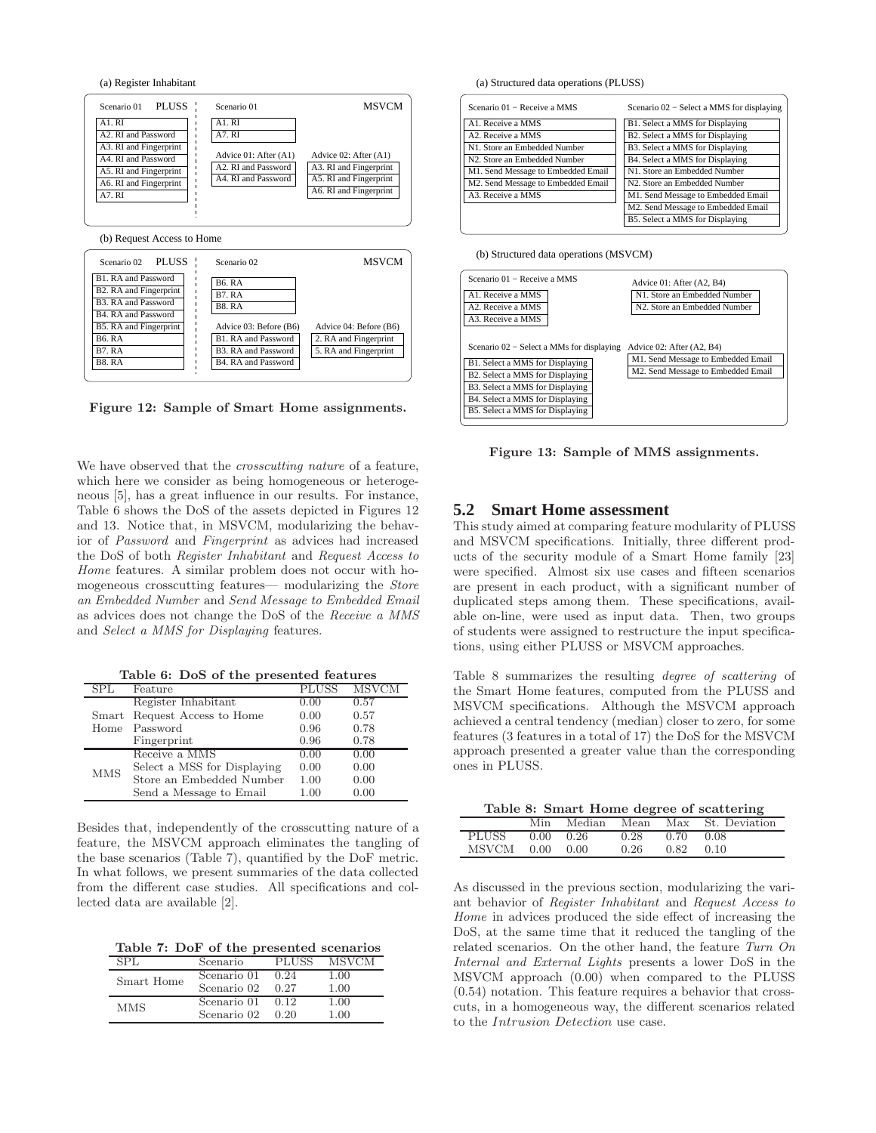(a) Register Inhabitant



Figure 12: Sample of Smart Home assignments.

We have observed that the *crosscutting nature* of a feature, which here we consider as being homogeneous or heterogeneous [5], has a great influence in our results. For instance, Table 6 shows the DoS of the assets depicted in Figures 12 and 13. Notice that, in MSVCM, modularizing the behavior of *Password* and *Fingerprint* as advices had increased the DoS of both *Register Inhabitant* and *Request Access to Home* features. A similar problem does not occur with homogeneous crosscutting features— modularizing the *Store an Embedded Number* and *Send Message to Embedded Email* as advices does not change the DoS of the *Receive a MMS* and *Select a MMS for Displaying* features.

|  |  |  | Table 6: DoS of the presented features |  |  |
|--|--|--|----------------------------------------|--|--|
|--|--|--|----------------------------------------|--|--|

|            | Feature                      | <b>PLUSS</b> | <b>MSVCM</b> |
|------------|------------------------------|--------------|--------------|
|            | Register Inhabitant          | 0.00         | 0.57         |
|            | Smart Request Access to Home | 0.00         | 0.57         |
| Home       | Password                     | 0.96         | 0.78         |
|            | Fingerprint                  | 0.96         | 0.78         |
|            | Receive a MMS                | 0.00         | 0.00         |
| <b>MMS</b> | Select a MSS for Displaying  | 0.00         | 0.00         |
|            | Store an Embedded Number     | 1.00         | 0.00         |
|            | Send a Message to Email      | 1.00         | 0.00         |

Besides that, independently of the crosscutting nature of a feature, the MSVCM approach eliminates the tangling of the base scenarios (Table 7), quantified by the DoF metric. In what follows, we present summaries of the data collected from the different case studies. All specifications and collected data are available [2].

Table 7: DoF of the presented scenarios

|            | Scenario    | PLUSS | MSVCM |
|------------|-------------|-------|-------|
| Smart Home | Scenario 01 | 0.24  | 1.00  |
|            | Scenario 02 | 0.27  | 1.00  |
| <b>MMS</b> | Scenario 01 | 0.12  | 1.00  |
|            | Scenario 02 | 0.20  | 1.00  |

(a) Structured data operations (PLUSS)

| Scenario 01 – Receive a MMS                                           | Scenario 02 – Select a MMS for displaying |
|-----------------------------------------------------------------------|-------------------------------------------|
| A1. Receive a MMS                                                     | B1. Select a MMS for Displaying           |
| A2. Receive a MMS                                                     | B2. Select a MMS for Displaying           |
| N1. Store an Embedded Number                                          | B3. Select a MMS for Displaying           |
| N2. Store an Embedded Number                                          | B4. Select a MMS for Displaying           |
| M1. Send Message to Embedded Email                                    | N1. Store an Embedded Number              |
| M2. Send Message to Embedded Email                                    | N <sub>2</sub> . Store an Embedded Number |
| A3. Receive a MMS                                                     | M1. Send Message to Embedded Email        |
|                                                                       | M2. Send Message to Embedded Email        |
|                                                                       | B5. Select a MMS for Displaying           |
|                                                                       |                                           |
| (b) Structured data operations (MSVCM)<br>Scenario 01 – Receive a MMS | Advice 01: After (A2, B4)                 |
| A1. Receive a MMS                                                     | N1. Store an Embedded Number              |
| A2. Receive a MMS                                                     | N2. Store an Embedded Number              |
| A3. Receive a MMS                                                     |                                           |

M2. Send Message to Embedded Email M1. Send Message to Embedded Email Scenario 02 − Select a MMs for displaying Advice 02: After (A2, B4) B1. Select a MMS for Displaying B2. Select a MMS for Displaying B3. Select a MMS for Displaying B4. Select a MMS for Displaying

Figure 13: Sample of MMS assignments.

#### **5.2 Smart Home assessment**

B5. Select a MMS for Displaying

This study aimed at comparing feature modularity of PLUSS and MSVCM specifications. Initially, three different products of the security module of a Smart Home family [23] were specified. Almost six use cases and fifteen scenarios are present in each product, with a significant number of duplicated steps among them. These specifications, available on-line, were used as input data. Then, two groups of students were assigned to restructure the input specifications, using either PLUSS or MSVCM approaches.

Table 8 summarizes the resulting *degree of scattering* of the Smart Home features, computed from the PLUSS and MSVCM specifications. Although the MSVCM approach achieved a central tendency (median) closer to zero, for some features (3 features in a total of 17) the DoS for the MSVCM approach presented a greater value than the corresponding ones in PLUSS.

Table 8: Smart Home degree of scattering

|              | Min  | Median | Mean | Max  | St. Deviation |
|--------------|------|--------|------|------|---------------|
| <b>PLUSS</b> | 0.00 | 0.26   | 0.28 | 0.70 | 0.08          |
| MSVCM        | 0.00 | 0.00   | 0.26 | 0.82 | 0.10          |

As discussed in the previous section, modularizing the variant behavior of *Register Inhabitant* and *Request Access to Home* in advices produced the side effect of increasing the DoS, at the same time that it reduced the tangling of the related scenarios. On the other hand, the feature *Turn On Internal and External Lights* presents a lower DoS in the MSVCM approach (0.00) when compared to the PLUSS (0.54) notation. This feature requires a behavior that crosscuts, in a homogeneous way, the different scenarios related to the Intrusion Detection use case.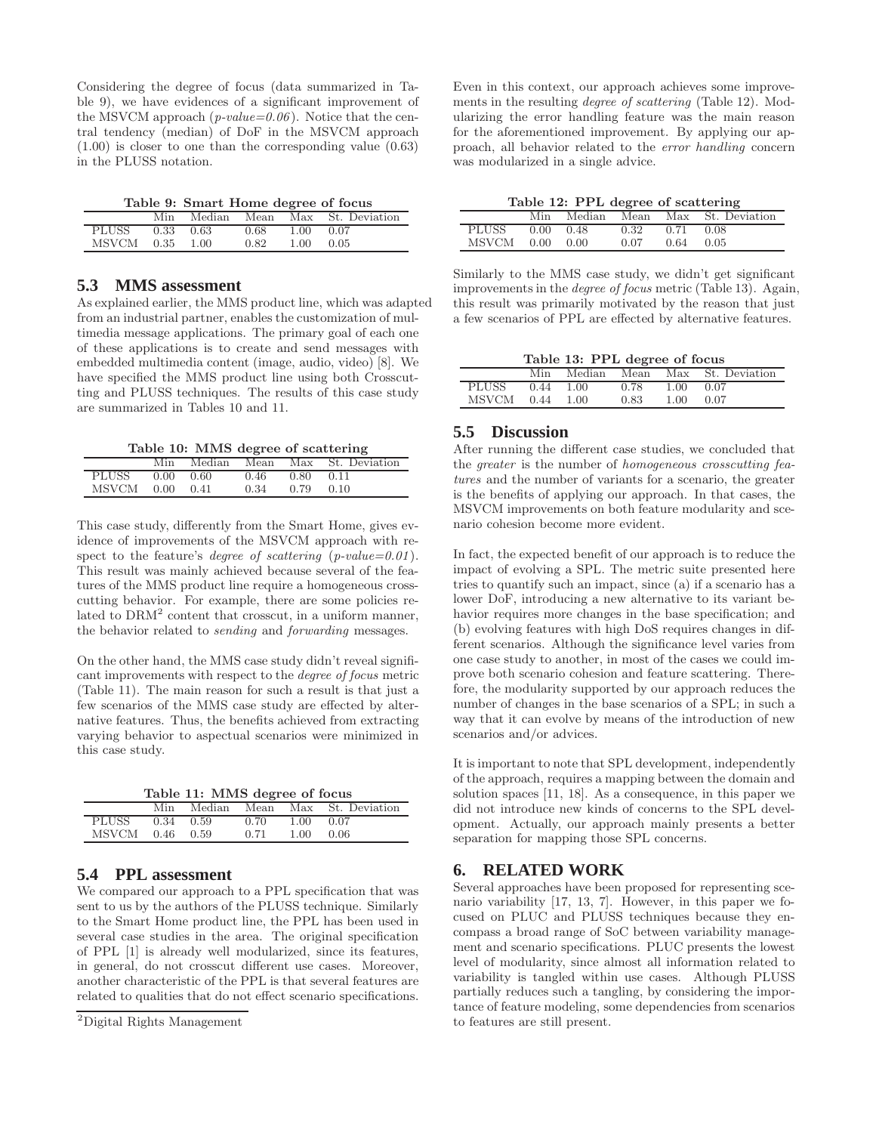Considering the degree of focus (data summarized in Table 9), we have evidences of a significant improvement of the MSVCM approach (*p-value=0.06*). Notice that the central tendency (median) of DoF in the MSVCM approach  $(1.00)$  is closer to one than the corresponding value  $(0.63)$ in the PLUSS notation.

| Table 9: Smart Home degree of focus |  |  |  |  |  |
|-------------------------------------|--|--|--|--|--|
|-------------------------------------|--|--|--|--|--|

|              | Min  | Median | Mean | Max  | St. Deviation |
|--------------|------|--------|------|------|---------------|
| PLUSS        | 0.33 | 0.63   | 0.68 | 1.00 | 0.07          |
| <b>MSVCM</b> | 0.35 | 1.00   | 0.82 | 1.00 | 0.05          |

## **5.3 MMS assessment**

As explained earlier, the MMS product line, which was adapted from an industrial partner, enables the customization of multimedia message applications. The primary goal of each one of these applications is to create and send messages with embedded multimedia content (image, audio, video) [8]. We have specified the MMS product line using both Crosscutting and PLUSS techniques. The results of this case study are summarized in Tables 10 and 11.

Table 10: MMS degree of scattering

|                 | Min               | Median | Mean |                              | Max St. Deviation |
|-----------------|-------------------|--------|------|------------------------------|-------------------|
| PLUSS           | $0.00 \quad 0.60$ |        | 0.46 | $0.80\qquad 0.\overline{11}$ |                   |
| MSVCM 0.00 0.41 |                   |        | 0.34 | 0.79                         | 0.10              |

This case study, differently from the Smart Home, gives evidence of improvements of the MSVCM approach with respect to the feature's *degree of scattering* (*p-value=0.01*). This result was mainly achieved because several of the features of the MMS product line require a homogeneous crosscutting behavior. For example, there are some policies related to DRM<sup>2</sup> content that crosscut, in a uniform manner, the behavior related to *sending* and *forwarding* messages.

On the other hand, the MMS case study didn't reveal significant improvements with respect to the *degree of focus* metric (Table 11). The main reason for such a result is that just a few scenarios of the MMS case study are effected by alternative features. Thus, the benefits achieved from extracting varying behavior to aspectual scenarios were minimized in this case study.

Table 11: MMS degree of focus

|              | Min  | Median | Mean | Max  | St. Deviation |
|--------------|------|--------|------|------|---------------|
| <b>PLUSS</b> | 0.34 | 0.59   | 0.70 | 1.00 | 0.07          |
| MSVCM        | 0.46 | 0.59   | 0.71 | 1.00 | 0.06          |

## **5.4 PPL assessment**

We compared our approach to a PPL specification that was sent to us by the authors of the PLUSS technique. Similarly to the Smart Home product line, the PPL has been used in several case studies in the area. The original specification of PPL [1] is already well modularized, since its features, in general, do not crosscut different use cases. Moreover, another characteristic of the PPL is that several features are related to qualities that do not effect scenario specifications. Even in this context, our approach achieves some improvements in the resulting *degree of scattering* (Table 12). Modularizing the error handling feature was the main reason for the aforementioned improvement. By applying our approach, all behavior related to the *error handling* concern was modularized in a single advice.

|  |  |  | Table 12: PPL degree of scattering |
|--|--|--|------------------------------------|
|--|--|--|------------------------------------|

|                 | $\frac{1}{2}$ |      |             |                                   |
|-----------------|---------------|------|-------------|-----------------------------------|
|                 |               |      |             | Min Median Mean Max St. Deviation |
| PLUSS 0.00 0.48 |               | 0.32 | $0.71$ 0.08 |                                   |
| MSVCM 0.00 0.00 |               | 0.07 | $0.64$ 0.05 |                                   |

Similarly to the MMS case study, we didn't get significant improvements in the *degree of focus* metric (Table 13). Again, this result was primarily motivated by the reason that just a few scenarios of PPL are effected by alternative features.

Table 13: PPL degree of focus

|              | Min  | Median | Mean | Max  | St. Deviation |
|--------------|------|--------|------|------|---------------|
| <b>PLUSS</b> | 0.44 | 1.00   | 0.78 | 1.00 | 0.07          |
| MSVCM        | 0.44 | 1.00   | 0.83 | 1.00 | 0.07          |

## **5.5 Discussion**

After running the different case studies, we concluded that the *greater* is the number of *homogeneous crosscutting features* and the number of variants for a scenario, the greater is the benefits of applying our approach. In that cases, the MSVCM improvements on both feature modularity and scenario cohesion become more evident.

In fact, the expected benefit of our approach is to reduce the impact of evolving a SPL. The metric suite presented here tries to quantify such an impact, since (a) if a scenario has a lower DoF, introducing a new alternative to its variant behavior requires more changes in the base specification; and (b) evolving features with high DoS requires changes in different scenarios. Although the significance level varies from one case study to another, in most of the cases we could improve both scenario cohesion and feature scattering. Therefore, the modularity supported by our approach reduces the number of changes in the base scenarios of a SPL; in such a way that it can evolve by means of the introduction of new scenarios and/or advices.

It is important to note that SPL development, independently of the approach, requires a mapping between the domain and solution spaces [11, 18]. As a consequence, in this paper we did not introduce new kinds of concerns to the SPL development. Actually, our approach mainly presents a better separation for mapping those SPL concerns.

#### **6. RELATED WORK**

Several approaches have been proposed for representing scenario variability [17, 13, 7]. However, in this paper we focused on PLUC and PLUSS techniques because they encompass a broad range of SoC between variability management and scenario specifications. PLUC presents the lowest level of modularity, since almost all information related to variability is tangled within use cases. Although PLUSS partially reduces such a tangling, by considering the importance of feature modeling, some dependencies from scenarios to features are still present.

<sup>2</sup>Digital Rights Management